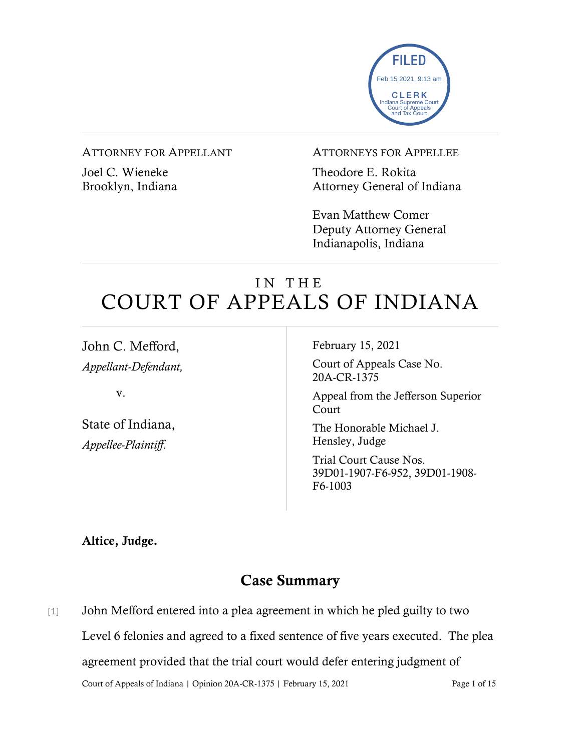

#### ATTORNEY FOR APPELLANT

Joel C. Wieneke Brooklyn, Indiana

### ATTORNEYS FOR APPELLEE

Theodore E. Rokita Attorney General of Indiana

Evan Matthew Comer Deputy Attorney General Indianapolis, Indiana

# IN THE COURT OF APPEALS OF INDIANA

John C. Mefford, *Appellant-Defendant,*

v.

State of Indiana, *Appellee-Plaintiff*.

February 15, 2021

Court of Appeals Case No. 20A-CR-1375

Appeal from the Jefferson Superior Court

The Honorable Michael J. Hensley, Judge

Trial Court Cause Nos. 39D01-1907-F6-952, 39D01-1908- F6-1003

Altice, Judge.

## Case Summary

Court of Appeals of Indiana | Opinion 20A-CR-1375 | February 15, 2021 Page 1 of 15 [1] John Mefford entered into a plea agreement in which he pled guilty to two Level 6 felonies and agreed to a fixed sentence of five years executed. The plea agreement provided that the trial court would defer entering judgment of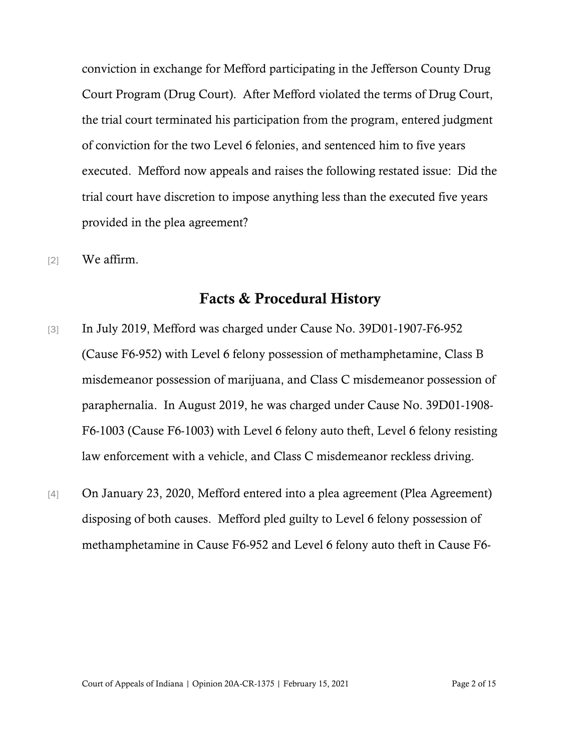conviction in exchange for Mefford participating in the Jefferson County Drug Court Program (Drug Court). After Mefford violated the terms of Drug Court, the trial court terminated his participation from the program, entered judgment of conviction for the two Level 6 felonies, and sentenced him to five years executed. Mefford now appeals and raises the following restated issue: Did the trial court have discretion to impose anything less than the executed five years provided in the plea agreement?

[2] We affirm.

### Facts & Procedural History

- [3] In July 2019, Mefford was charged under Cause No. 39D01-1907-F6-952 (Cause F6-952) with Level 6 felony possession of methamphetamine, Class B misdemeanor possession of marijuana, and Class C misdemeanor possession of paraphernalia. In August 2019, he was charged under Cause No. 39D01-1908- F6-1003 (Cause F6-1003) with Level 6 felony auto theft, Level 6 felony resisting law enforcement with a vehicle, and Class C misdemeanor reckless driving.
- [4] On January 23, 2020, Mefford entered into a plea agreement (Plea Agreement) disposing of both causes. Mefford pled guilty to Level 6 felony possession of methamphetamine in Cause F6-952 and Level 6 felony auto theft in Cause F6-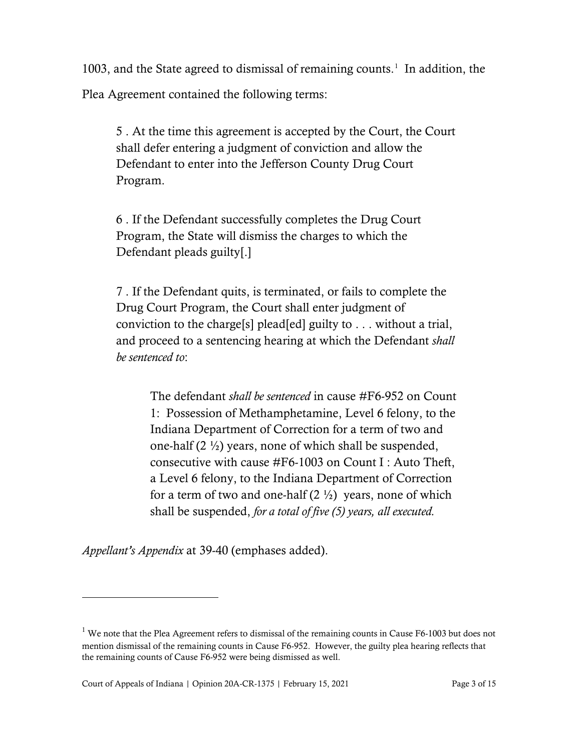[1](#page-2-0)003, and the State agreed to dismissal of remaining counts.<sup>1</sup> In addition, the Plea Agreement contained the following terms:

5 . At the time this agreement is accepted by the Court, the Court shall defer entering a judgment of conviction and allow the Defendant to enter into the Jefferson County Drug Court Program.

6 . If the Defendant successfully completes the Drug Court Program, the State will dismiss the charges to which the Defendant pleads guilty[.]

7 . If the Defendant quits, is terminated, or fails to complete the Drug Court Program, the Court shall enter judgment of conviction to the charge[s] plead[ed] guilty to . . . without a trial, and proceed to a sentencing hearing at which the Defendant *shall be sentenced to*:

The defendant *shall be sentenced* in cause #F6-952 on Count 1: Possession of Methamphetamine, Level 6 felony, to the Indiana Department of Correction for a term of two and one-half (2 ½) years, none of which shall be suspended, consecutive with cause #F6-1003 on Count I : Auto Theft, a Level 6 felony, to the Indiana Department of Correction for a term of two and one-half  $(2 \frac{1}{2})$  years, none of which shall be suspended, *for a total of five (5) years, all executed.*

*Appellant's Appendix* at 39-40 (emphases added).

<span id="page-2-0"></span><sup>&</sup>lt;sup>1</sup> We note that the Plea Agreement refers to dismissal of the remaining counts in Cause F6-1003 but does not mention dismissal of the remaining counts in Cause F6-952. However, the guilty plea hearing reflects that the remaining counts of Cause F6-952 were being dismissed as well.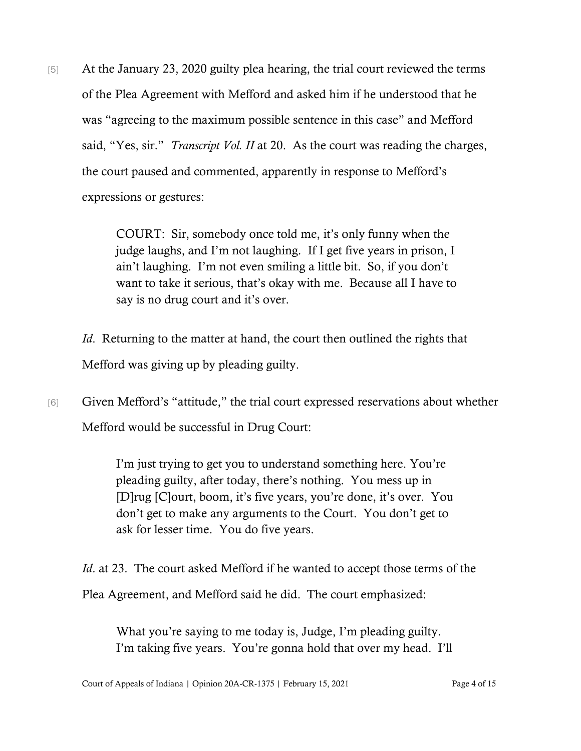[5] At the January 23, 2020 guilty plea hearing, the trial court reviewed the terms of the Plea Agreement with Mefford and asked him if he understood that he was "agreeing to the maximum possible sentence in this case" and Mefford said, "Yes, sir." *Transcript Vol. II* at 20. As the court was reading the charges, the court paused and commented, apparently in response to Mefford's expressions or gestures:

> COURT: Sir, somebody once told me, it's only funny when the judge laughs, and I'm not laughing. If I get five years in prison, I ain't laughing. I'm not even smiling a little bit. So, if you don't want to take it serious, that's okay with me. Because all I have to say is no drug court and it's over.

- *Id*. Returning to the matter at hand, the court then outlined the rights that Mefford was giving up by pleading guilty.
- [6] Given Mefford's "attitude," the trial court expressed reservations about whether Mefford would be successful in Drug Court:

I'm just trying to get you to understand something here. You're pleading guilty, after today, there's nothing. You mess up in [D]rug [C]ourt, boom, it's five years, you're done, it's over. You don't get to make any arguments to the Court. You don't get to ask for lesser time. You do five years.

*Id*. at 23. The court asked Mefford if he wanted to accept those terms of the Plea Agreement, and Mefford said he did. The court emphasized:

What you're saying to me today is, Judge, I'm pleading guilty. I'm taking five years. You're gonna hold that over my head. I'll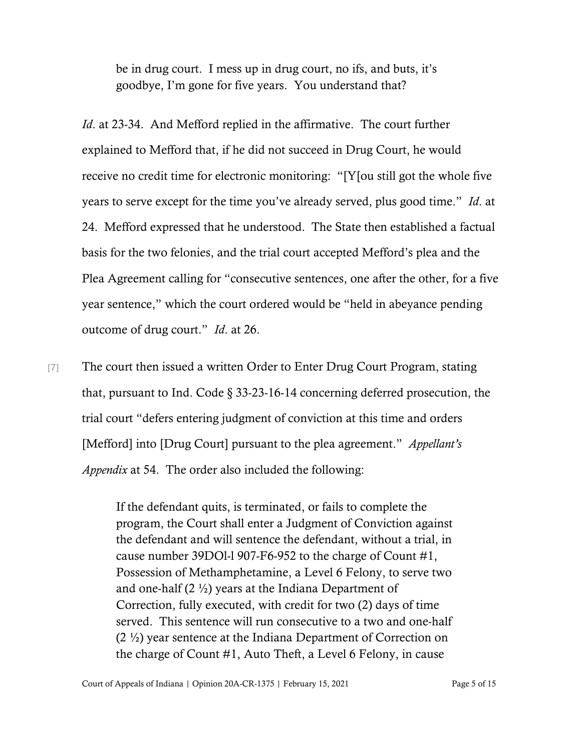be in drug court. I mess up in drug court, no ifs, and buts, it's goodbye, I'm gone for five years. You understand that?

*Id*. at 23-34. And Mefford replied in the affirmative. The court further explained to Mefford that, if he did not succeed in Drug Court, he would receive no credit time for electronic monitoring: "[Y[ou still got the whole five years to serve except for the time you've already served, plus good time." *Id*. at 24. Mefford expressed that he understood. The State then established a factual basis for the two felonies, and the trial court accepted Mefford's plea and the Plea Agreement calling for "consecutive sentences, one after the other, for a five year sentence," which the court ordered would be "held in abeyance pending outcome of drug court." *Id*. at 26.

[7] The court then issued a written Order to Enter Drug Court Program, stating that, pursuant to Ind. Code § 33-23-16-14 concerning deferred prosecution, the trial court "defers entering judgment of conviction at this time and orders [Mefford] into [Drug Court] pursuant to the plea agreement." *Appellant's Appendix* at 54. The order also included the following:

> If the defendant quits, is terminated, or fails to complete the program, the Court shall enter a Judgment of Conviction against the defendant and will sentence the defendant, without a trial, in cause number 39DOl-l 907-F6-952 to the charge of Count #1, Possession of Methamphetamine, a Level 6 Felony, to serve two and one-half  $(2 \frac{1}{2})$  years at the Indiana Department of Correction, fully executed, with credit for two (2) days of time served. This sentence will run consecutive to a two and one-half  $(2 \frac{1}{2})$  year sentence at the Indiana Department of Correction on the charge of Count #1, Auto Theft, a Level 6 Felony, in cause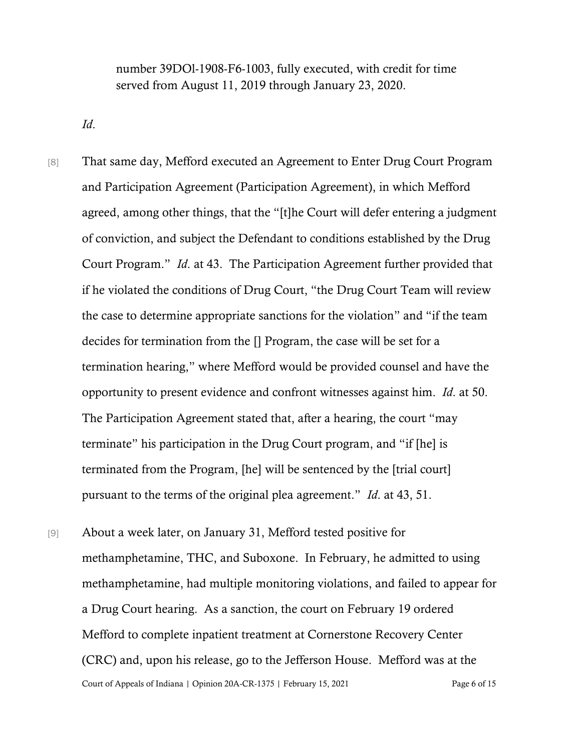number 39DOl-1908-F6-1003, fully executed, with credit for time served from August 11, 2019 through January 23, 2020.

*Id*.

[8] That same day, Mefford executed an Agreement to Enter Drug Court Program and Participation Agreement (Participation Agreement), in which Mefford agreed, among other things, that the "[t]he Court will defer entering a judgment of conviction, and subject the Defendant to conditions established by the Drug Court Program." *Id*. at 43. The Participation Agreement further provided that if he violated the conditions of Drug Court, "the Drug Court Team will review the case to determine appropriate sanctions for the violation" and "if the team decides for termination from the [] Program, the case will be set for a termination hearing," where Mefford would be provided counsel and have the opportunity to present evidence and confront witnesses against him. *Id*. at 50. The Participation Agreement stated that, after a hearing, the court "may terminate" his participation in the Drug Court program, and "if [he] is terminated from the Program, [he] will be sentenced by the [trial court] pursuant to the terms of the original plea agreement." *Id*. at 43, 51.

Court of Appeals of Indiana | Opinion 20A-CR-1375 | February 15, 2021 Page 6 of 15 [9] About a week later, on January 31, Mefford tested positive for methamphetamine, THC, and Suboxone. In February, he admitted to using methamphetamine, had multiple monitoring violations, and failed to appear for a Drug Court hearing. As a sanction, the court on February 19 ordered Mefford to complete inpatient treatment at Cornerstone Recovery Center (CRC) and, upon his release, go to the Jefferson House. Mefford was at the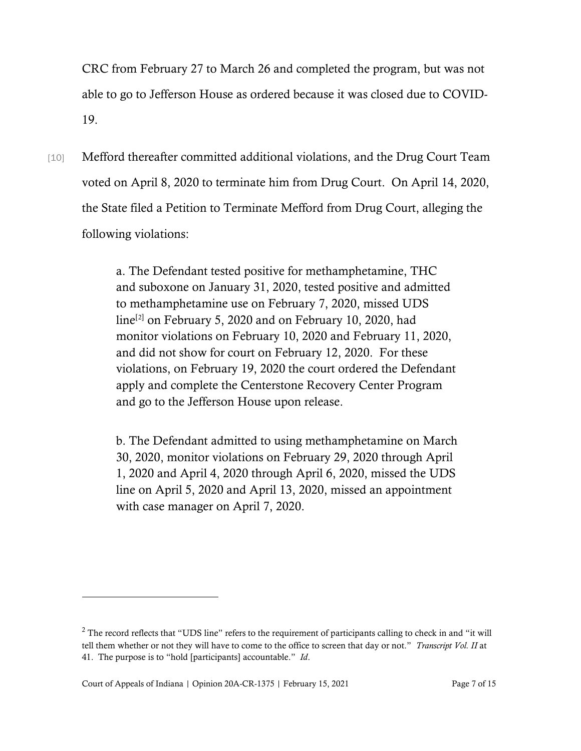CRC from February 27 to March 26 and completed the program, but was not able to go to Jefferson House as ordered because it was closed due to COVID-19.

[10] Mefford thereafter committed additional violations, and the Drug Court Team voted on April 8, 2020 to terminate him from Drug Court. On April 14, 2020, the State filed a Petition to Terminate Mefford from Drug Court, alleging the following violations:

> a. The Defendant tested positive for methamphetamine, THC and suboxone on January 31, 2020, tested positive and admitted to methamphetamine use on February 7, 2020, missed UDS line<sup>[[2](#page-6-0)]</sup> on February 5, 2020 and on February 10, 2020, had monitor violations on February 10, 2020 and February 11, 2020, and did not show for court on February 12, 2020. For these violations, on February 19, 2020 the court ordered the Defendant apply and complete the Centerstone Recovery Center Program and go to the Jefferson House upon release.

> b. The Defendant admitted to using methamphetamine on March 30, 2020, monitor violations on February 29, 2020 through April 1, 2020 and April 4, 2020 through April 6, 2020, missed the UDS line on April 5, 2020 and April 13, 2020, missed an appointment with case manager on April 7, 2020.

<span id="page-6-0"></span><sup>&</sup>lt;sup>2</sup> The record reflects that "UDS line" refers to the requirement of participants calling to check in and "it will tell them whether or not they will have to come to the office to screen that day or not." *Transcript Vol. II* at 41. The purpose is to "hold [participants] accountable." *Id*.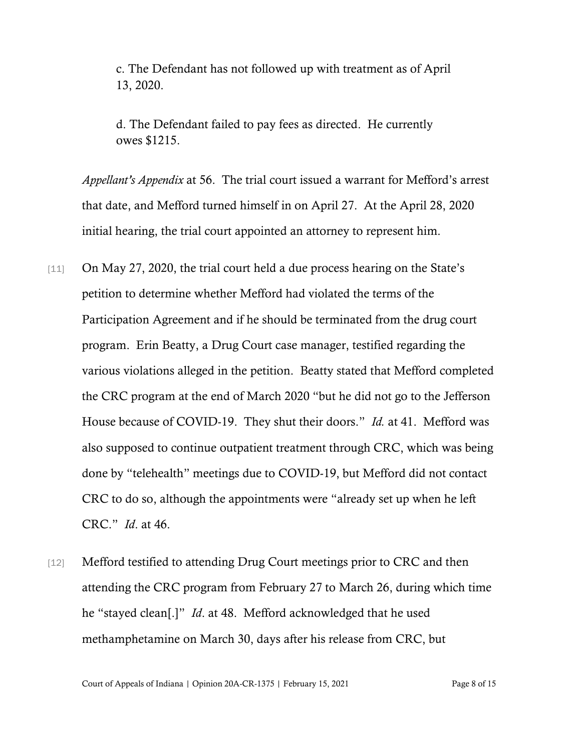c. The Defendant has not followed up with treatment as of April 13, 2020.

d. The Defendant failed to pay fees as directed. He currently owes \$1215.

*Appellant's Appendix* at 56. The trial court issued a warrant for Mefford's arrest that date, and Mefford turned himself in on April 27. At the April 28, 2020 initial hearing, the trial court appointed an attorney to represent him.

- [11] On May 27, 2020, the trial court held a due process hearing on the State's petition to determine whether Mefford had violated the terms of the Participation Agreement and if he should be terminated from the drug court program. Erin Beatty, a Drug Court case manager, testified regarding the various violations alleged in the petition. Beatty stated that Mefford completed the CRC program at the end of March 2020 "but he did not go to the Jefferson House because of COVID-19. They shut their doors." *Id.* at 41. Mefford was also supposed to continue outpatient treatment through CRC, which was being done by "telehealth" meetings due to COVID-19, but Mefford did not contact CRC to do so, although the appointments were "already set up when he left CRC." *Id*. at 46.
- [12] Mefford testified to attending Drug Court meetings prior to CRC and then attending the CRC program from February 27 to March 26, during which time he "stayed clean[.]" *Id*. at 48. Mefford acknowledged that he used methamphetamine on March 30, days after his release from CRC, but

Court of Appeals of Indiana | Opinion 20A-CR-1375 | February 15, 2021 Page 8 of 15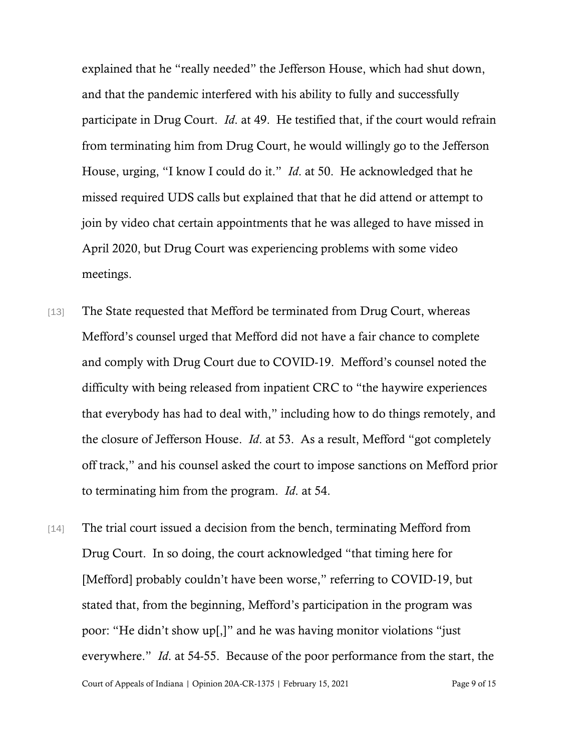explained that he "really needed" the Jefferson House, which had shut down, and that the pandemic interfered with his ability to fully and successfully participate in Drug Court. *Id*. at 49. He testified that, if the court would refrain from terminating him from Drug Court, he would willingly go to the Jefferson House, urging, "I know I could do it." *Id*. at 50. He acknowledged that he missed required UDS calls but explained that that he did attend or attempt to join by video chat certain appointments that he was alleged to have missed in April 2020, but Drug Court was experiencing problems with some video meetings.

- [13] The State requested that Mefford be terminated from Drug Court, whereas Mefford's counsel urged that Mefford did not have a fair chance to complete and comply with Drug Court due to COVID-19. Mefford's counsel noted the difficulty with being released from inpatient CRC to "the haywire experiences that everybody has had to deal with," including how to do things remotely, and the closure of Jefferson House. *Id*. at 53. As a result, Mefford "got completely off track," and his counsel asked the court to impose sanctions on Mefford prior to terminating him from the program. *Id*. at 54.
- Court of Appeals of Indiana | Opinion 20A-CR-1375 | February 15, 2021 Page 9 of 15 [14] The trial court issued a decision from the bench, terminating Mefford from Drug Court. In so doing, the court acknowledged "that timing here for [Mefford] probably couldn't have been worse," referring to COVID-19, but stated that, from the beginning, Mefford's participation in the program was poor: "He didn't show up[,]" and he was having monitor violations "just everywhere." *Id*. at 54-55. Because of the poor performance from the start, the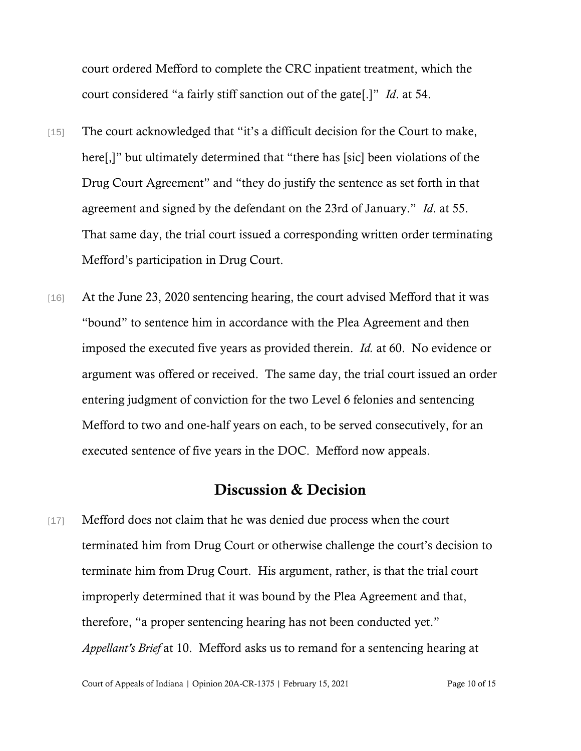court ordered Mefford to complete the CRC inpatient treatment, which the court considered "a fairly stiff sanction out of the gate[.]" *Id*. at 54.

- [15] The court acknowledged that "it's a difficult decision for the Court to make, here[,]" but ultimately determined that "there has [sic] been violations of the Drug Court Agreement" and "they do justify the sentence as set forth in that agreement and signed by the defendant on the 23rd of January." *Id*. at 55. That same day, the trial court issued a corresponding written order terminating Mefford's participation in Drug Court.
- [16] At the June 23, 2020 sentencing hearing, the court advised Mefford that it was "bound" to sentence him in accordance with the Plea Agreement and then imposed the executed five years as provided therein. *Id.* at 60. No evidence or argument was offered or received. The same day, the trial court issued an order entering judgment of conviction for the two Level 6 felonies and sentencing Mefford to two and one-half years on each, to be served consecutively, for an executed sentence of five years in the DOC. Mefford now appeals.

### Discussion & Decision

[17] Mefford does not claim that he was denied due process when the court terminated him from Drug Court or otherwise challenge the court's decision to terminate him from Drug Court. His argument, rather, is that the trial court improperly determined that it was bound by the Plea Agreement and that, therefore, "a proper sentencing hearing has not been conducted yet." *Appellant's Brief* at 10. Mefford asks us to remand for a sentencing hearing at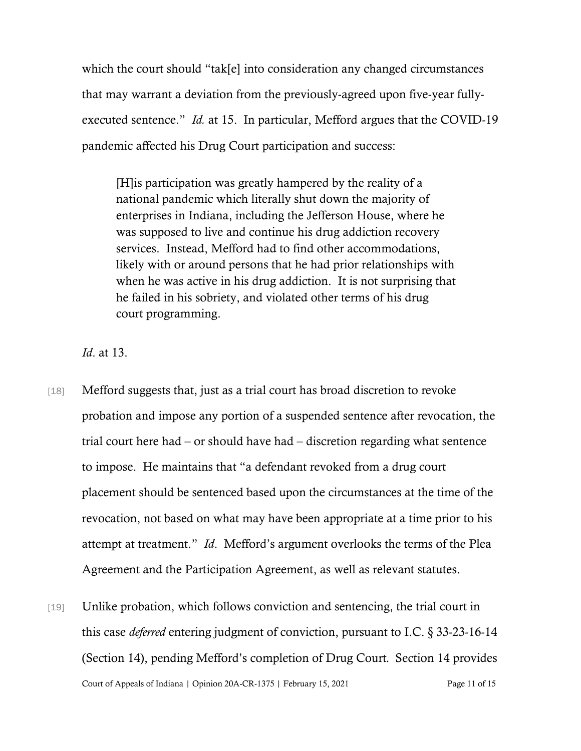which the court should "tak[e] into consideration any changed circumstances that may warrant a deviation from the previously-agreed upon five-year fullyexecuted sentence." *Id.* at 15. In particular, Mefford argues that the COVID-19 pandemic affected his Drug Court participation and success:

[H]is participation was greatly hampered by the reality of a national pandemic which literally shut down the majority of enterprises in Indiana, including the Jefferson House, where he was supposed to live and continue his drug addiction recovery services. Instead, Mefford had to find other accommodations, likely with or around persons that he had prior relationships with when he was active in his drug addiction. It is not surprising that he failed in his sobriety, and violated other terms of his drug court programming.

*Id*. at 13.

- [18] Mefford suggests that, just as a trial court has broad discretion to revoke probation and impose any portion of a suspended sentence after revocation, the trial court here had – or should have had – discretion regarding what sentence to impose. He maintains that "a defendant revoked from a drug court placement should be sentenced based upon the circumstances at the time of the revocation, not based on what may have been appropriate at a time prior to his attempt at treatment." *Id*. Mefford's argument overlooks the terms of the Plea Agreement and the Participation Agreement, as well as relevant statutes.
- Court of Appeals of Indiana | Opinion 20A-CR-1375 | February 15, 2021 Page 11 of 15 [19] Unlike probation, which follows conviction and sentencing, the trial court in this case *deferred* entering judgment of conviction, pursuant to I.C. § 33-23-16-14 (Section 14), pending Mefford's completion of Drug Court*.* Section 14 provides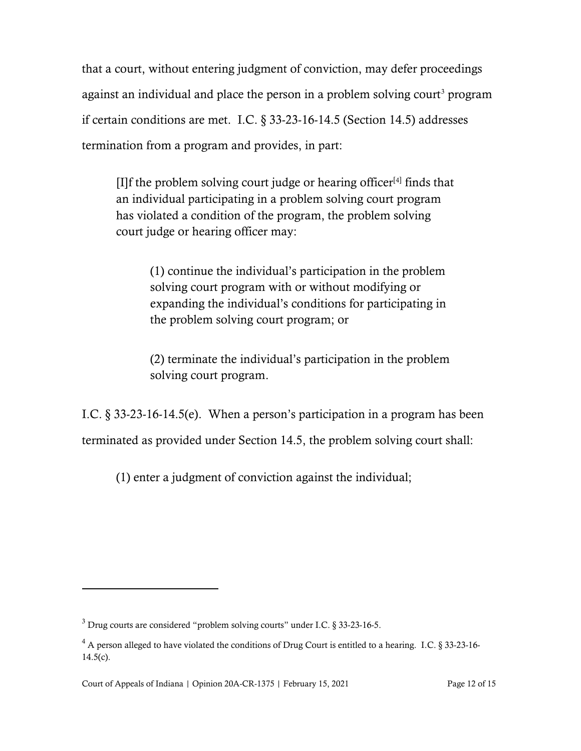that a court, without entering judgment of conviction, may defer proceedings against an individual and place the person in a problem solving court<sup>[3](#page-11-0)</sup> program if certain conditions are met. I.C. § 33-23-16-14.5 (Section 14.5) addresses termination from a program and provides, in part:

[I]f the problem solving court judge or hearing officer $[4]$  $[4]$  finds that an individual participating in a problem solving court program has violated a condition of the program, the problem solving court judge or hearing officer may:

(1) continue the individual's participation in the problem solving court program with or without modifying or expanding the individual's conditions for participating in the problem solving court program; or

(2) terminate the individual's participation in the problem solving court program.

I.C. § 33-23-16-14.5(e). When a person's participation in a program has been terminated as provided under Section 14.5, the problem solving court shall:

(1) enter a judgment of conviction against the individual;

<span id="page-11-0"></span><sup>3</sup> Drug courts are considered "problem solving courts" under I.C. § 33-23-16-5.

<span id="page-11-1"></span><sup>&</sup>lt;sup>4</sup> A person alleged to have violated the conditions of Drug Court is entitled to a hearing. I.C. § 33-23-16- $14.5(c)$ .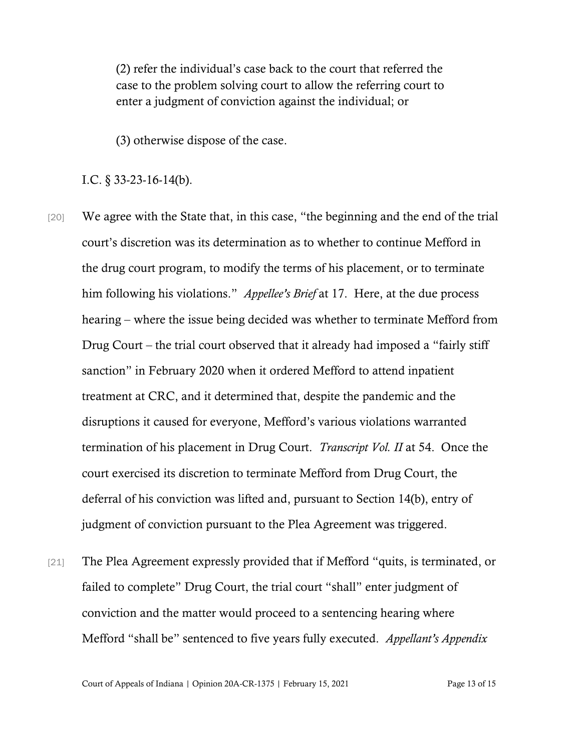(2) refer the individual's case back to the court that referred the case to the problem solving court to allow the referring court to enter a judgment of conviction against the individual; or

(3) otherwise dispose of the case.

I.C. § 33-23-16-14(b).

[20] We agree with the State that, in this case, "the beginning and the end of the trial court's discretion was its determination as to whether to continue Mefford in the drug court program, to modify the terms of his placement, or to terminate him following his violations." *Appellee's Brief* at 17. Here, at the due process hearing – where the issue being decided was whether to terminate Mefford from Drug Court – the trial court observed that it already had imposed a "fairly stiff sanction" in February 2020 when it ordered Mefford to attend inpatient treatment at CRC, and it determined that, despite the pandemic and the disruptions it caused for everyone, Mefford's various violations warranted termination of his placement in Drug Court. *Transcript Vol. II* at 54. Once the court exercised its discretion to terminate Mefford from Drug Court, the deferral of his conviction was lifted and, pursuant to Section 14(b), entry of judgment of conviction pursuant to the Plea Agreement was triggered.

[21] The Plea Agreement expressly provided that if Mefford "quits, is terminated, or failed to complete" Drug Court, the trial court "shall" enter judgment of conviction and the matter would proceed to a sentencing hearing where Mefford "shall be" sentenced to five years fully executed. *Appellant's Appendix*

Court of Appeals of Indiana | Opinion 20A-CR-1375 | February 15, 2021 Page 13 of 15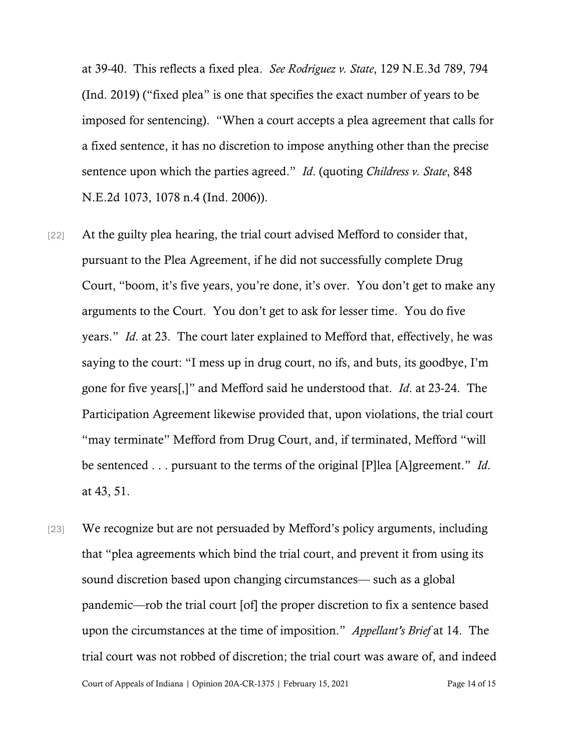at 39-40. This reflects a fixed plea. *See Rodriguez v. State*, 129 N.E.3d 789, 794 (Ind. 2019) ("fixed plea" is one that specifies the exact number of years to be imposed for sentencing). "When a court accepts a plea agreement that calls for a fixed sentence, it has no discretion to impose anything other than the precise sentence upon which the parties agreed." *Id*. (quoting *Childress v. State*, 848 N.E.2d 1073, 1078 n.4 (Ind. 2006)).

- [22] At the guilty plea hearing, the trial court advised Mefford to consider that, pursuant to the Plea Agreement, if he did not successfully complete Drug Court, "boom, it's five years, you're done, it's over. You don't get to make any arguments to the Court. You don't get to ask for lesser time. You do five years." *Id*. at 23. The court later explained to Mefford that, effectively, he was saying to the court: "I mess up in drug court, no ifs, and buts, its goodbye, I'm gone for five years[,]" and Mefford said he understood that. *Id*. at 23-24. The Participation Agreement likewise provided that, upon violations, the trial court "may terminate" Mefford from Drug Court, and, if terminated, Mefford "will be sentenced . . . pursuant to the terms of the original [P]lea [A]greement." *Id*. at 43, 51.
- Court of Appeals of Indiana | Opinion 20A-CR-1375 | February 15, 2021 Page 14 of 15 [23] We recognize but are not persuaded by Mefford's policy arguments, including that "plea agreements which bind the trial court, and prevent it from using its sound discretion based upon changing circumstances— such as a global pandemic—rob the trial court [of] the proper discretion to fix a sentence based upon the circumstances at the time of imposition." *Appellant's Brief* at 14. The trial court was not robbed of discretion; the trial court was aware of, and indeed